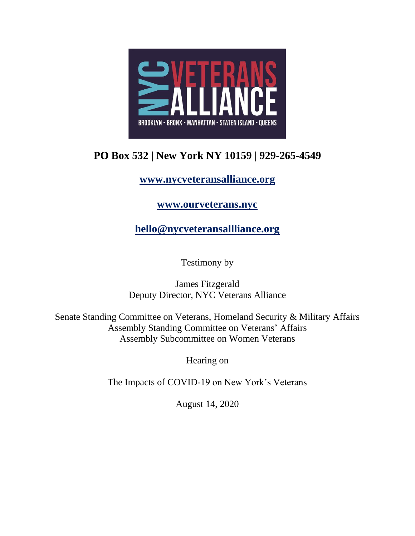

## **PO Box 532 | New York NY 10159 | 929-265-4549**

## **[www.nycveteransalliance.org](about:blank)**

## **[www.ourveterans.nyc](about:blank)**

**[hello@nycveteransallliance.org](about:blank)**

Testimony by

James Fitzgerald Deputy Director, NYC Veterans Alliance

Senate Standing Committee on Veterans, Homeland Security & Military Affairs Assembly Standing Committee on Veterans' Affairs Assembly Subcommittee on Women Veterans

Hearing on

The Impacts of COVID-19 on New York's Veterans

August 14, 2020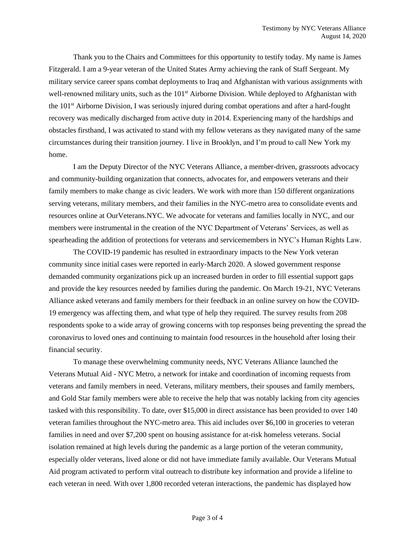Thank you to the Chairs and Committees for this opportunity to testify today. My name is James Fitzgerald. I am a 9-year veteran of the United States Army achieving the rank of Staff Sergeant. My military service career spans combat deployments to Iraq and Afghanistan with various assignments with well-renowned military units, such as the 101<sup>st</sup> Airborne Division. While deployed to Afghanistan with the 101st Airborne Division, I was seriously injured during combat operations and after a hard-fought recovery was medically discharged from active duty in 2014. Experiencing many of the hardships and obstacles firsthand, I was activated to stand with my fellow veterans as they navigated many of the same circumstances during their transition journey. I live in Brooklyn, and I'm proud to call New York my home.

I am the Deputy Director of the NYC Veterans Alliance, a member-driven, grassroots advocacy and community-building organization that connects, advocates for, and empowers veterans and their family members to make change as civic leaders. We work with more than 150 different organizations serving veterans, military members, and their families in the NYC-metro area to consolidate events and resources online at OurVeterans.NYC. We advocate for veterans and families locally in NYC, and our members were instrumental in the creation of the NYC Department of Veterans' Services, as well as spearheading the addition of protections for veterans and servicemembers in NYC's Human Rights Law.

The COVID-19 pandemic has resulted in extraordinary impacts to the New York veteran community since initial cases were reported in early-March 2020. A slowed government response demanded community organizations pick up an increased burden in order to fill essential support gaps and provide the key resources needed by families during the pandemic. On March 19-21, NYC Veterans Alliance asked veterans and family members for their feedback in an online survey on how the COVID-19 emergency was affecting them, and what type of help they required. The survey results from 208 respondents spoke to a wide array of growing concerns with top responses being preventing the spread the coronavirus to loved ones and continuing to maintain food resources in the household after losing their financial security.

To manage these overwhelming community needs, NYC Veterans Alliance launched the Veterans Mutual Aid - NYC Metro, a network for intake and coordination of incoming requests from veterans and family members in need. Veterans, military members, their spouses and family members, and Gold Star family members were able to receive the help that was notably lacking from city agencies tasked with this responsibility. To date, over \$15,000 in direct assistance has been provided to over 140 veteran families throughout the NYC-metro area. This aid includes over \$6,100 in groceries to veteran families in need and over \$7,200 spent on housing assistance for at-risk homeless veterans. Social isolation remained at high levels during the pandemic as a large portion of the veteran community, especially older veterans, lived alone or did not have immediate family available. Our Veterans Mutual Aid program activated to perform vital outreach to distribute key information and provide a lifeline to each veteran in need. With over 1,800 recorded veteran interactions, the pandemic has displayed how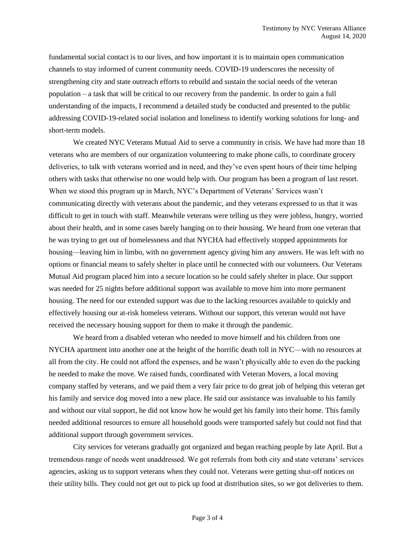fundamental social contact is to our lives, and how important it is to maintain open communication channels to stay informed of current community needs. COVID-19 underscores the necessity of strengthening city and state outreach efforts to rebuild and sustain the social needs of the veteran population – a task that will be critical to our recovery from the pandemic. In order to gain a full understanding of the impacts, I recommend a detailed study be conducted and presented to the public addressing COVID-19-related social isolation and loneliness to identify working solutions for long- and short-term models.

We created NYC Veterans Mutual Aid to serve a community in crisis. We have had more than 18 veterans who are members of our organization volunteering to make phone calls, to coordinate grocery deliveries, to talk with veterans worried and in need, and they've even spent hours of their time helping others with tasks that otherwise no one would help with. Our program has been a program of last resort. When we stood this program up in March, NYC's Department of Veterans' Services wasn't communicating directly with veterans about the pandemic, and they veterans expressed to us that it was difficult to get in touch with staff. Meanwhile veterans were telling us they were jobless, hungry, worried about their health, and in some cases barely hanging on to their housing. We heard from one veteran that he was trying to get out of homelessness and that NYCHA had effectively stopped appointments for housing—leaving him in limbo, with no government agency giving him any answers. He was left with no options or financial means to safely shelter in place until he connected with our volunteers. Our Veterans Mutual Aid program placed him into a secure location so he could safely shelter in place. Our support was needed for 25 nights before additional support was available to move him into more permanent housing. The need for our extended support was due to the lacking resources available to quickly and effectively housing our at-risk homeless veterans. Without our support, this veteran would not have received the necessary housing support for them to make it through the pandemic.

We heard from a disabled veteran who needed to move himself and his children from one NYCHA apartment into another one at the height of the horrific death toll in NYC—with no resources at all from the city. He could not afford the expenses, and he wasn't physically able to even do the packing he needed to make the move. We raised funds, coordinated with Veteran Movers, a local moving company staffed by veterans, and we paid them a very fair price to do great job of helping this veteran get his family and service dog moved into a new place. He said our assistance was invaluable to his family and without our vital support, he did not know how he would get his family into their home. This family needed additional resources to ensure all household goods were transported safely but could not find that additional support through government services.

City services for veterans gradually got organized and began reaching people by late April. But a tremendous range of needs went unaddressed. We got referrals from both city and state veterans' services agencies, asking us to support veterans when they could not. Veterans were getting shut-off notices on their utility bills. They could not get out to pick up food at distribution sites, so we got deliveries to them.